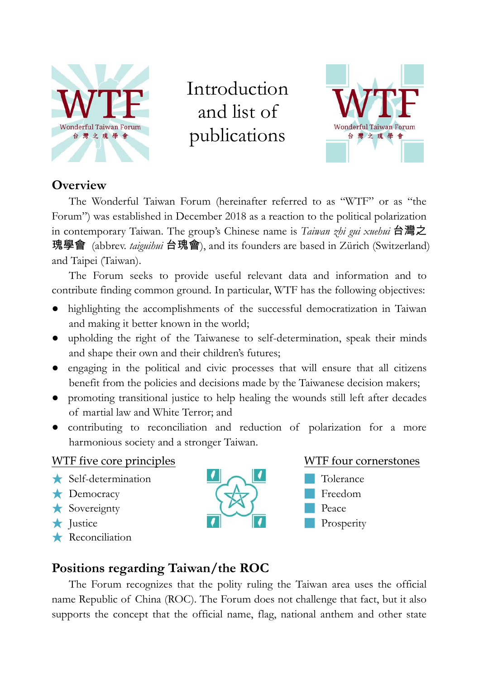

Introduction and list of publications



### **Overview**

The Wonderful Taiwan Forum (hereinafter referred to as "WTF" or as "the Forum") was established in December 2018 as a reaction to the political polarization in contemporary Taiwan. The group's Chinese name is *Taiwan zhi gui xuehui* 台灣之 瑰學會 (abbrev. *taiguihui* 台瑰會), and its founders are based in Zürich (Switzerland) and Taipei (Taiwan).

The Forum seeks to provide useful relevant data and information and to contribute finding common ground. In particular, WTF has the following objectives:

- highlighting the accomplishments of the successful democratization in Taiwan and making it better known in the world;
- upholding the right of the Taiwanese to self-determination, speak their minds and shape their own and their children's futures;
- engaging in the political and civic processes that will ensure that all citizens benefit from the policies and decisions made by the Taiwanese decision makers;
- promoting transitional justice to help healing the wounds still left after decades of martial law and White Terror; and
- contributing to reconciliation and reduction of polarization for a more harmonious society and a stronger Taiwan.

#### WTF five core principles

- ★ Self-determination
- ★ Democracy
- ★ Sovereignty
- ★ Justice
- ★ Reconciliation





### **Positions regarding Taiwan/the ROC**

The Forum recognizes that the polity ruling the Taiwan area uses the official name Republic of China (ROC). The Forum does not challenge that fact, but it also supports the concept that the official name, flag, national anthem and other state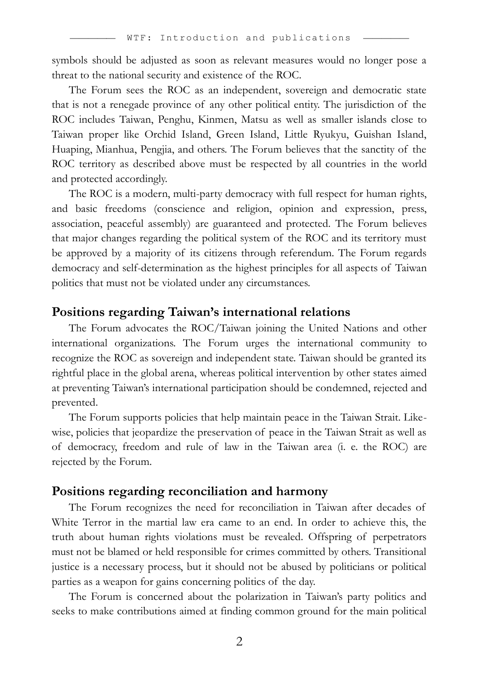symbols should be adjusted as soon as relevant measures would no longer pose a threat to the national security and existence of the ROC.

The Forum sees the ROC as an independent, sovereign and democratic state that is not a renegade province of any other political entity. The jurisdiction of the ROC includes Taiwan, Penghu, Kinmen, Matsu as well as smaller islands close to Taiwan proper like Orchid Island, Green Island, Little Ryukyu, Guishan Island, Huaping, Mianhua, Pengjia, and others. The Forum believes that the sanctity of the ROC territory as described above must be respected by all countries in the world and protected accordingly.

The ROC is a modern, multi-party democracy with full respect for human rights, and basic freedoms (conscience and religion, opinion and expression, press, association, peaceful assembly) are guaranteed and protected. The Forum believes that major changes regarding the political system of the ROC and its territory must be approved by a majority of its citizens through referendum. The Forum regards democracy and self-determination as the highest principles for all aspects of Taiwan politics that must not be violated under any circumstances.

#### **Positions regarding Taiwan's international relations**

The Forum advocates the ROC/Taiwan joining the United Nations and other international organizations. The Forum urges the international community to recognize the ROC as sovereign and independent state. Taiwan should be granted its rightful place in the global arena, whereas political intervention by other states aimed at preventing Taiwan's international participation should be condemned, rejected and prevented.

The Forum supports policies that help maintain peace in the Taiwan Strait. Likewise, policies that jeopardize the preservation of peace in the Taiwan Strait as well as of democracy, freedom and rule of law in the Taiwan area (i. e. the ROC) are rejected by the Forum.

#### **Positions regarding reconciliation and harmony**

The Forum recognizes the need for reconciliation in Taiwan after decades of White Terror in the martial law era came to an end. In order to achieve this, the truth about human rights violations must be revealed. Offspring of perpetrators must not be blamed or held responsible for crimes committed by others. Transitional justice is a necessary process, but it should not be abused by politicians or political parties as a weapon for gains concerning politics of the day.

The Forum is concerned about the polarization in Taiwan's party politics and seeks to make contributions aimed at finding common ground for the main political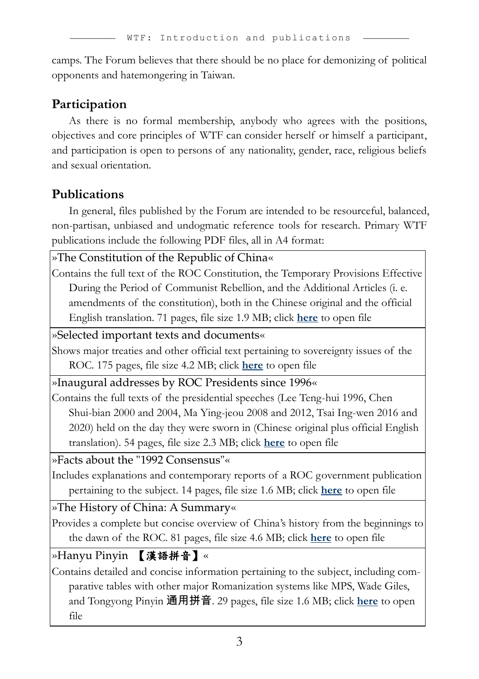camps. The Forum believes that there should be no place for demonizing of political opponents and hatemongering in Taiwan.

### **Participation**

As there is no formal membership, anybody who agrees with the positions, objectives and core principles of WTF can consider herself or himself a participant, and participation is open to persons of any nationality, gender, race, religious beliefs and sexual orientation.

## **Publications**

In general, files published by the Forum are intended to be resourceful, balanced, non-partisan, unbiased and undogmatic reference tools for research. Primary WTF publications include the following PDF files, all in A4 format:

»The Constitution of the Republic of China«

Contains the full text of the ROC Constitution, the Temporary Provisions Effective During the Period of Communist Rebellion, and the Additional Articles (i. e. amendments of the constitution), both in the Chinese original and the official English translation. 71 pages, file size 1.9 MB; click **[here](http://www.taiwan-database.net/PDFs/WTFpdf07.pdf)** to open file

»Selected important texts and documents«

Shows major treaties and other official text pertaining to sovereignty issues of the ROC. 175 pages, file size 4.2 MB; click **[here](http://www.taiwan-database.net/PDFs/WTFpdf08.pdf)** to open file

»Inaugural addresses by ROC Presidents since 1996«

Contains the full texts of the presidential speeches (Lee Teng-hui 1996, Chen Shui-bian 2000 and 2004, Ma Ying-jeou 2008 and 2012, Tsai Ing-wen 2016 and 2020) held on the day they were sworn in (Chinese original plus official English translation). 54 pages, file size 2.3 MB; click **[here](http://www.taiwan-database.net/PDFs/WTFpdf09.pdf)** to open file

»Facts about the "1992 Consensus"«

Includes explanations and contemporary reports of a ROC government publication pertaining to the subject. 14 pages, file size 1.6 MB; click **[here](http://www.taiwan-database.net/PDFs/WTFpdf10.pdf)** to open file

»The History of China: A Summary«

Provides a complete but concise overview of China's history from the beginnings to the dawn of the ROC. 81 pages, file size 4.6 MB; click **[here](http://www.taiwan-database.net/PDFs/WTFpdf04.pdf)** to open file

»Hanyu Pinyin 【漢語拼音】«

Contains detailed and concise information pertaining to the subject, including comparative tables with other major Romanization systems like MPS, Wade Giles, and Tongyong Pinyin 通用拼音. 29 pages, file size 1.6 MB; click **[here](http://www.taiwan-database.net/PDFs/WTFpdf03.pdf)** to open file